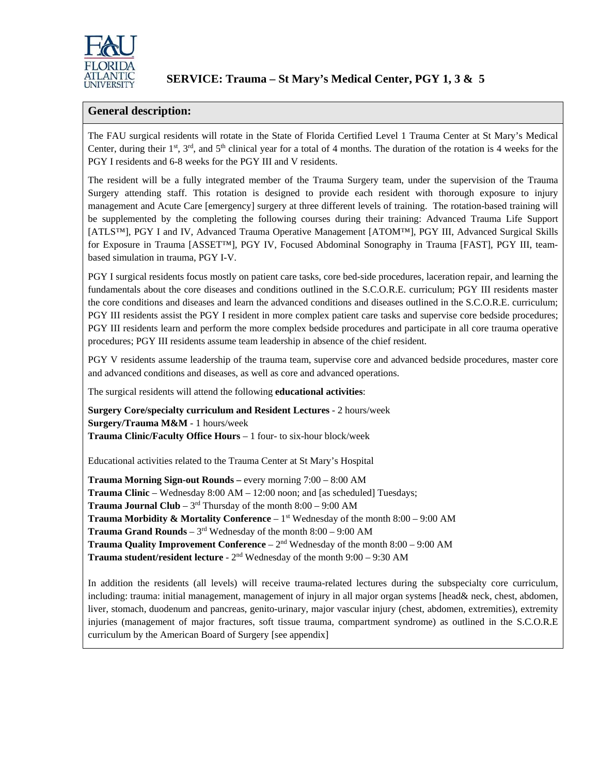

## **General description:**

The FAU surgical residents will rotate in the State of Florida Certified Level 1 Trauma Center at St Mary's Medical Center, during their  $1^{st}$ ,  $3^{rd}$ , and  $5^{th}$  clinical year for a total of 4 months. The duration of the rotation is 4 weeks for the PGY I residents and 6-8 weeks for the PGY III and V residents.

The resident will be a fully integrated member of the Trauma Surgery team, under the supervision of the Trauma Surgery attending staff. This rotation is designed to provide each resident with thorough exposure to injury management and Acute Care [emergency] surgery at three different levels of training. The rotation-based training will be supplemented by the completing the following courses during their training: Advanced Trauma Life Support [ATLS™], PGY I and IV, Advanced Trauma Operative Management [ATOM™], PGY III, Advanced Surgical Skills for Exposure in Trauma [ASSET™], PGY IV, Focused Abdominal Sonography in Trauma [FAST], PGY III, teambased simulation in trauma, PGY I-V.

PGY I surgical residents focus mostly on patient care tasks, core bed-side procedures, laceration repair, and learning the fundamentals about the core diseases and conditions outlined in the S.C.O.R.E. curriculum; PGY III residents master the core conditions and diseases and learn the advanced conditions and diseases outlined in the S.C.O.R.E. curriculum; PGY III residents assist the PGY I resident in more complex patient care tasks and supervise core bedside procedures; PGY III residents learn and perform the more complex bedside procedures and participate in all core trauma operative procedures; PGY III residents assume team leadership in absence of the chief resident.

PGY V residents assume leadership of the trauma team, supervise core and advanced bedside procedures, master core and advanced conditions and diseases, as well as core and advanced operations.

The surgical residents will attend the following **educational activities**:

**Surgery Core/specialty curriculum and Resident Lectures** - 2 hours/week **Surgery/Trauma M&M** - 1 hours/week **Trauma Clinic/Faculty Office Hours** – 1 four- to six-hour block/week

Educational activities related to the Trauma Center at St Mary's Hospital

**Trauma Morning Sign-out Rounds –** every morning 7:00 – 8:00 AM **Trauma Clinic** – Wednesday 8:00 AM – 12:00 noon; and [as scheduled] Tuesdays; **Trauma Journal Club** –  $3<sup>rd</sup>$  Thursday of the month  $8:00 - 9:00$  AM **Trauma Morbidity & Mortality Conference** –  $1<sup>st</sup>$  Wednesday of the month  $8:00 - 9:00$  AM **Trauma Grand Rounds** –  $3^{rd}$  Wednesday of the month  $8:00 - 9:00$  AM **Trauma Quality Improvement Conference** – 2nd Wednesday of the month 8:00 – 9:00 AM **Trauma student/resident lecture** - 2<sup>nd</sup> Wednesday of the month 9:00 – 9:30 AM

In addition the residents (all levels) will receive trauma-related lectures during the subspecialty core curriculum, including: trauma: initial management, management of injury in all major organ systems [head& neck, chest, abdomen, liver, stomach, duodenum and pancreas, genito-urinary, major vascular injury (chest, abdomen, extremities), extremity injuries (management of major fractures, soft tissue trauma, compartment syndrome) as outlined in the S.C.O.R.E curriculum by the American Board of Surgery [see appendix]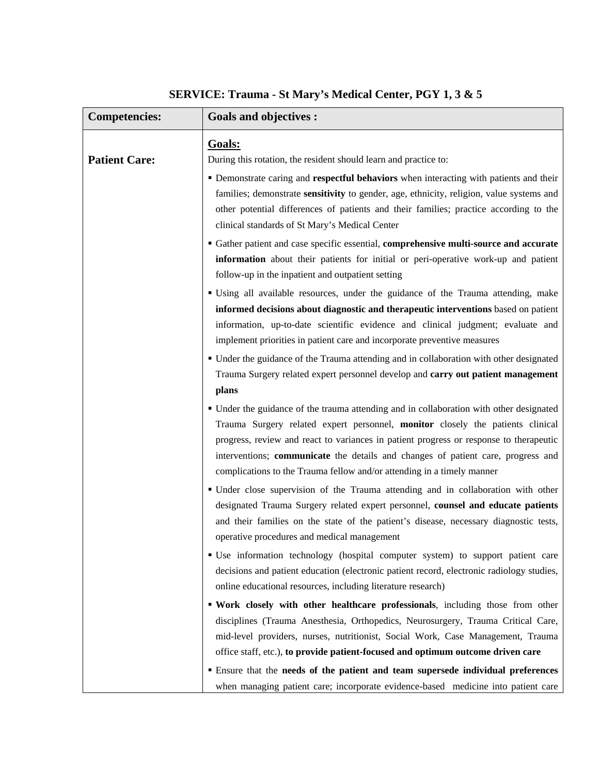| <b>Competencies:</b> | <b>Goals and objectives:</b>                                                                                                                                                                                                                                                                                                                                                                                                                                                                                          |
|----------------------|-----------------------------------------------------------------------------------------------------------------------------------------------------------------------------------------------------------------------------------------------------------------------------------------------------------------------------------------------------------------------------------------------------------------------------------------------------------------------------------------------------------------------|
| <b>Patient Care:</b> | Goals:<br>During this rotation, the resident should learn and practice to:<br>" Demonstrate caring and respectful behaviors when interacting with patients and their<br>families; demonstrate sensitivity to gender, age, ethnicity, religion, value systems and<br>other potential differences of patients and their families; practice according to the<br>clinical standards of St Mary's Medical Center                                                                                                           |
|                      | • Gather patient and case specific essential, comprehensive multi-source and accurate<br>information about their patients for initial or peri-operative work-up and patient<br>follow-up in the inpatient and outpatient setting                                                                                                                                                                                                                                                                                      |
|                      | " Using all available resources, under the guidance of the Trauma attending, make<br>informed decisions about diagnostic and therapeutic interventions based on patient<br>information, up-to-date scientific evidence and clinical judgment; evaluate and<br>implement priorities in patient care and incorporate preventive measures<br>• Under the guidance of the Trauma attending and in collaboration with other designated<br>Trauma Surgery related expert personnel develop and carry out patient management |
|                      | plans<br>• Under the guidance of the trauma attending and in collaboration with other designated<br>Trauma Surgery related expert personnel, monitor closely the patients clinical<br>progress, review and react to variances in patient progress or response to therapeutic<br>interventions; communicate the details and changes of patient care, progress and<br>complications to the Trauma fellow and/or attending in a timely manner                                                                            |
|                      | • Under close supervision of the Trauma attending and in collaboration with other<br>designated Trauma Surgery related expert personnel, counsel and educate patients<br>and their families on the state of the patient's disease, necessary diagnostic tests,<br>operative procedures and medical management                                                                                                                                                                                                         |
|                      | • Use information technology (hospital computer system) to support patient care<br>decisions and patient education (electronic patient record, electronic radiology studies,<br>online educational resources, including literature research)                                                                                                                                                                                                                                                                          |
|                      | " Work closely with other healthcare professionals, including those from other<br>disciplines (Trauma Anesthesia, Orthopedics, Neurosurgery, Trauma Critical Care,<br>mid-level providers, nurses, nutritionist, Social Work, Case Management, Trauma<br>office staff, etc.), to provide patient-focused and optimum outcome driven care                                                                                                                                                                              |
|                      | <b>Ensure that the needs of the patient and team supersede individual preferences</b><br>when managing patient care; incorporate evidence-based medicine into patient care                                                                                                                                                                                                                                                                                                                                            |

## **SERVICE: Trauma - St Mary's Medical Center, PGY 1, 3 & 5**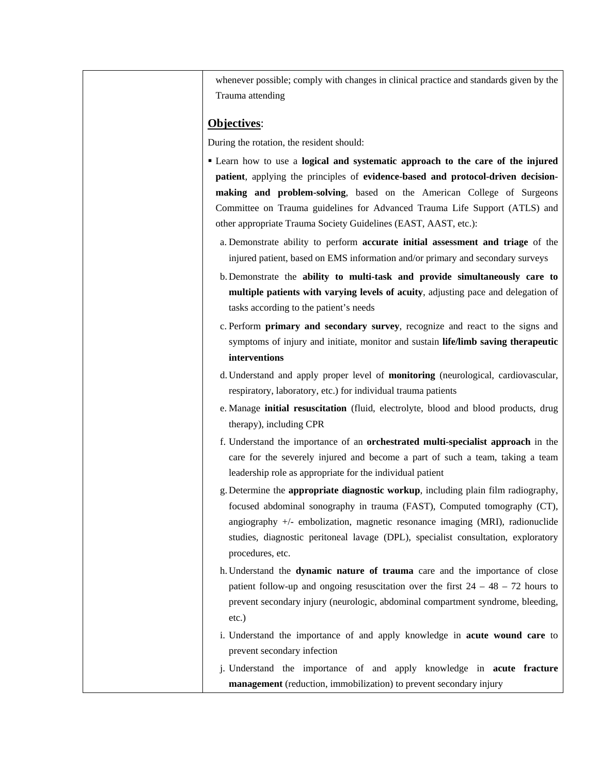whenever possible; comply with changes in clinical practice and standards given by the Trauma attending

## **Objectives**:

During the rotation, the resident should:

- Learn how to use a **logical and systematic approach to the care of the injured patient**, applying the principles of **evidence-based and protocol-driven decisionmaking and problem-solving**, based on the American College of Surgeons Committee on Trauma guidelines for Advanced Trauma Life Support (ATLS) and other appropriate Trauma Society Guidelines (EAST, AAST, etc.):
	- a. Demonstrate ability to perform **accurate initial assessment and triage** of the injured patient, based on EMS information and/or primary and secondary surveys
	- b. Demonstrate the **ability to multi-task and provide simultaneously care to multiple patients with varying levels of acuity**, adjusting pace and delegation of tasks according to the patient's needs
	- c. Perform **primary and secondary survey**, recognize and react to the signs and symptoms of injury and initiate, monitor and sustain **life/limb saving therapeutic interventions**
	- d. Understand and apply proper level of **monitoring** (neurological, cardiovascular, respiratory, laboratory, etc.) for individual trauma patients
	- e. Manage **initial resuscitation** (fluid, electrolyte, blood and blood products, drug therapy), including CPR
	- f. Understand the importance of an **orchestrated multi-specialist approach** in the care for the severely injured and become a part of such a team, taking a team leadership role as appropriate for the individual patient
	- g. Determine the **appropriate diagnostic workup**, including plain film radiography, focused abdominal sonography in trauma (FAST), Computed tomography (CT), angiography +/- embolization, magnetic resonance imaging (MRI), radionuclide studies, diagnostic peritoneal lavage (DPL), specialist consultation, exploratory procedures, etc.
	- h. Understand the **dynamic nature of trauma** care and the importance of close patient follow-up and ongoing resuscitation over the first  $24 - 48 - 72$  hours to prevent secondary injury (neurologic, abdominal compartment syndrome, bleeding, etc.)
	- i. Understand the importance of and apply knowledge in **acute wound care** to prevent secondary infection
	- j. Understand the importance of and apply knowledge in **acute fracture management** (reduction, immobilization) to prevent secondary injury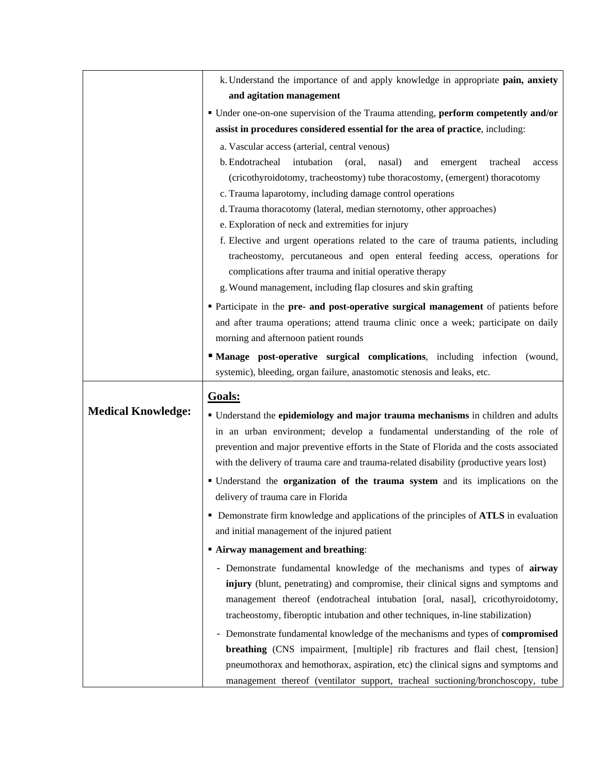|                           | k. Understand the importance of and apply knowledge in appropriate pain, anxiety                                                                                                   |
|---------------------------|------------------------------------------------------------------------------------------------------------------------------------------------------------------------------------|
|                           | and agitation management                                                                                                                                                           |
|                           | • Under one-on-one supervision of the Trauma attending, perform competently and/or                                                                                                 |
|                           | assist in procedures considered essential for the area of practice, including:                                                                                                     |
|                           | a. Vascular access (arterial, central venous)                                                                                                                                      |
|                           | b. Endotracheal<br>intubation<br>nasal)<br>(oral,<br>and<br>emergent<br>tracheal<br>access                                                                                         |
|                           | (cricothyroidotomy, tracheostomy) tube thoracostomy, (emergent) thoracotomy                                                                                                        |
|                           | c. Trauma laparotomy, including damage control operations                                                                                                                          |
|                           | d. Trauma thoracotomy (lateral, median sternotomy, other approaches)                                                                                                               |
|                           | e. Exploration of neck and extremities for injury                                                                                                                                  |
|                           | f. Elective and urgent operations related to the care of trauma patients, including                                                                                                |
|                           | tracheostomy, percutaneous and open enteral feeding access, operations for                                                                                                         |
|                           | complications after trauma and initial operative therapy                                                                                                                           |
|                           | g. Wound management, including flap closures and skin grafting                                                                                                                     |
|                           | • Participate in the pre- and post-operative surgical management of patients before                                                                                                |
|                           | and after trauma operations; attend trauma clinic once a week; participate on daily                                                                                                |
|                           | morning and afternoon patient rounds                                                                                                                                               |
|                           | "Manage post-operative surgical complications, including infection (wound,                                                                                                         |
|                           | systemic), bleeding, organ failure, anastomotic stenosis and leaks, etc.                                                                                                           |
|                           | Goals:                                                                                                                                                                             |
|                           |                                                                                                                                                                                    |
| <b>Medical Knowledge:</b> |                                                                                                                                                                                    |
|                           | • Understand the epidemiology and major trauma mechanisms in children and adults                                                                                                   |
|                           | in an urban environment; develop a fundamental understanding of the role of                                                                                                        |
|                           | prevention and major preventive efforts in the State of Florida and the costs associated<br>with the delivery of trauma care and trauma-related disability (productive years lost) |
|                           |                                                                                                                                                                                    |
|                           | " Understand the organization of the trauma system and its implications on the                                                                                                     |
|                           | delivery of trauma care in Florida                                                                                                                                                 |
|                           | • Demonstrate firm knowledge and applications of the principles of ATLS in evaluation                                                                                              |
|                           | and initial management of the injured patient                                                                                                                                      |
|                           | <b>Airway management and breathing:</b>                                                                                                                                            |
|                           | - Demonstrate fundamental knowledge of the mechanisms and types of airway                                                                                                          |
|                           | injury (blunt, penetrating) and compromise, their clinical signs and symptoms and                                                                                                  |
|                           | management thereof (endotracheal intubation [oral, nasal], cricothyroidotomy,                                                                                                      |
|                           | tracheostomy, fiberoptic intubation and other techniques, in-line stabilization)                                                                                                   |
|                           | - Demonstrate fundamental knowledge of the mechanisms and types of compromised                                                                                                     |
|                           | breathing (CNS impairment, [multiple] rib fractures and flail chest, [tension]<br>pneumothorax and hemothorax, aspiration, etc) the clinical signs and symptoms and                |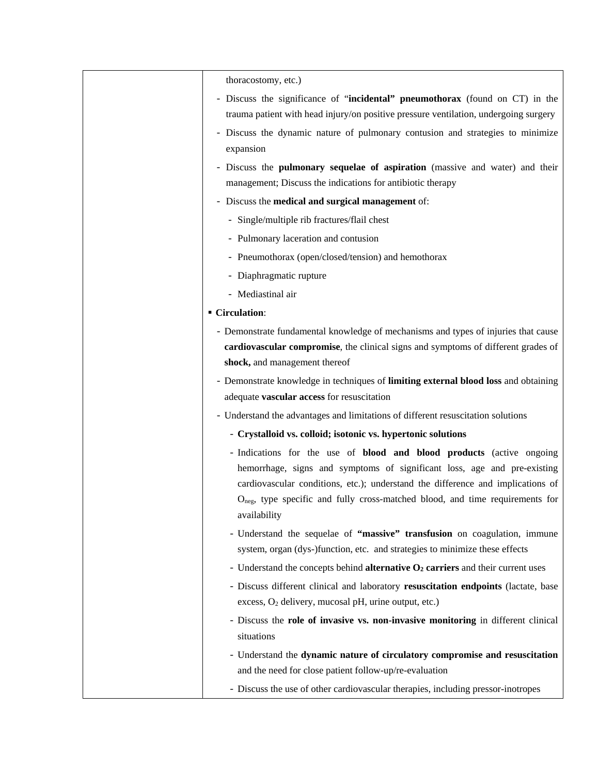| thoracostomy, etc.)                                                                                                                                      |
|----------------------------------------------------------------------------------------------------------------------------------------------------------|
| - Discuss the significance of "incidental" pneumothorax (found on CT) in the                                                                             |
| trauma patient with head injury/on positive pressure ventilation, undergoing surgery                                                                     |
| - Discuss the dynamic nature of pulmonary contusion and strategies to minimize<br>expansion                                                              |
| - Discuss the <b>pulmonary sequelae of aspiration</b> (massive and water) and their<br>management; Discuss the indications for antibiotic therapy        |
| - Discuss the medical and surgical management of:                                                                                                        |
| - Single/multiple rib fractures/flail chest                                                                                                              |
| - Pulmonary laceration and contusion                                                                                                                     |
| - Pneumothorax (open/closed/tension) and hemothorax                                                                                                      |
| - Diaphragmatic rupture                                                                                                                                  |
| - Mediastinal air                                                                                                                                        |
|                                                                                                                                                          |
| ■ Circulation:                                                                                                                                           |
| - Demonstrate fundamental knowledge of mechanisms and types of injuries that cause                                                                       |
| cardiovascular compromise, the clinical signs and symptoms of different grades of<br>shock, and management thereof                                       |
| - Demonstrate knowledge in techniques of limiting external blood loss and obtaining                                                                      |
| adequate vascular access for resuscitation                                                                                                               |
| - Understand the advantages and limitations of different resuscitation solutions                                                                         |
| - Crystalloid vs. colloid; isotonic vs. hypertonic solutions                                                                                             |
| - Indications for the use of <b>blood and blood products</b> (active ongoing                                                                             |
| hemorrhage, signs and symptoms of significant loss, age and pre-existing                                                                                 |
| cardiovascular conditions, etc.); understand the difference and implications of                                                                          |
| $O_{\text{neg}}$ , type specific and fully cross-matched blood, and time requirements for<br>availability                                                |
| - Understand the sequelae of "massive" transfusion on coagulation, immune<br>system, organ (dys-)function, etc. and strategies to minimize these effects |
|                                                                                                                                                          |
| - Understand the concepts behind <b>alternative <math>O_2</math> carriers</b> and their current uses                                                     |
| - Discuss different clinical and laboratory resuscitation endpoints (lactate, base<br>excess, O <sub>2</sub> delivery, mucosal pH, urine output, etc.)   |
| - Discuss the role of invasive vs. non-invasive monitoring in different clinical                                                                         |
| situations                                                                                                                                               |
| - Understand the dynamic nature of circulatory compromise and resuscitation                                                                              |
| and the need for close patient follow-up/re-evaluation                                                                                                   |
| - Discuss the use of other cardiovascular therapies, including pressor-inotropes                                                                         |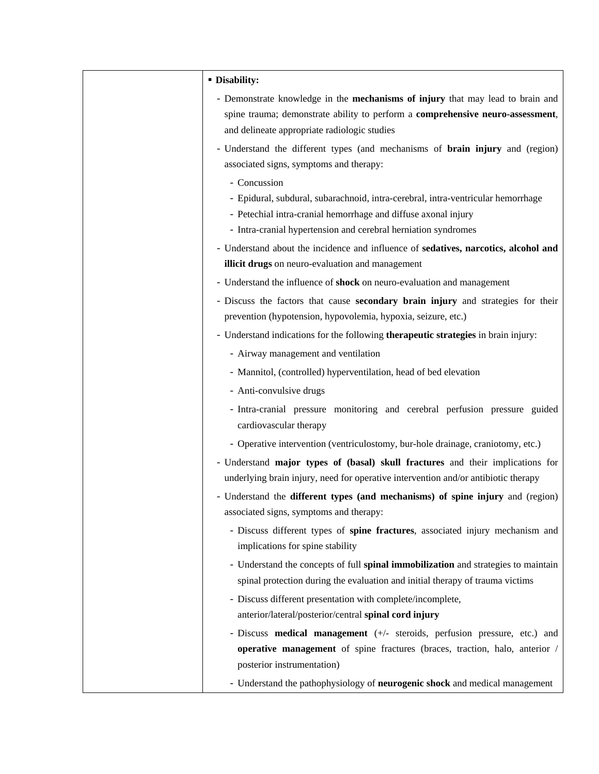| <b>- Disability:</b>                                                                                                                                                                                                                 |
|--------------------------------------------------------------------------------------------------------------------------------------------------------------------------------------------------------------------------------------|
| - Demonstrate knowledge in the <b>mechanisms of injury</b> that may lead to brain and<br>spine trauma; demonstrate ability to perform a comprehensive neuro-assessment,<br>and delineate appropriate radiologic studies              |
| - Understand the different types (and mechanisms of <b>brain injury</b> and (region)<br>associated signs, symptoms and therapy:                                                                                                      |
| - Concussion<br>- Epidural, subdural, subarachnoid, intra-cerebral, intra-ventricular hemorrhage<br>- Petechial intra-cranial hemorrhage and diffuse axonal injury<br>- Intra-cranial hypertension and cerebral herniation syndromes |
| - Understand about the incidence and influence of sedatives, narcotics, alcohol and<br>illicit drugs on neuro-evaluation and management                                                                                              |
| - Understand the influence of shock on neuro-evaluation and management                                                                                                                                                               |
| - Discuss the factors that cause <b>secondary brain injury</b> and strategies for their<br>prevention (hypotension, hypovolemia, hypoxia, seizure, etc.)                                                                             |
| - Understand indications for the following therapeutic strategies in brain injury:                                                                                                                                                   |
| - Airway management and ventilation                                                                                                                                                                                                  |
| - Mannitol, (controlled) hyperventilation, head of bed elevation                                                                                                                                                                     |
| - Anti-convulsive drugs                                                                                                                                                                                                              |
| - Intra-cranial pressure monitoring and cerebral perfusion pressure guided<br>cardiovascular therapy                                                                                                                                 |
| - Operative intervention (ventriculostomy, bur-hole drainage, craniotomy, etc.)                                                                                                                                                      |
| - Understand major types of (basal) skull fractures and their implications for<br>underlying brain injury, need for operative intervention and/or antibiotic therapy                                                                 |
| - Understand the different types (and mechanisms) of spine injury and (region)<br>associated signs, symptoms and therapy:                                                                                                            |
| - Discuss different types of spine fractures, associated injury mechanism and<br>implications for spine stability                                                                                                                    |
| - Understand the concepts of full spinal immobilization and strategies to maintain<br>spinal protection during the evaluation and initial therapy of trauma victims                                                                  |
| - Discuss different presentation with complete/incomplete,                                                                                                                                                                           |
| anterior/lateral/posterior/central spinal cord injury                                                                                                                                                                                |
| - Discuss <b>medical management</b> $(+/-$ steroids, perfusion pressure, etc.) and                                                                                                                                                   |
| operative management of spine fractures (braces, traction, halo, anterior /                                                                                                                                                          |
| posterior instrumentation)                                                                                                                                                                                                           |
| - Understand the pathophysiology of neurogenic shock and medical management                                                                                                                                                          |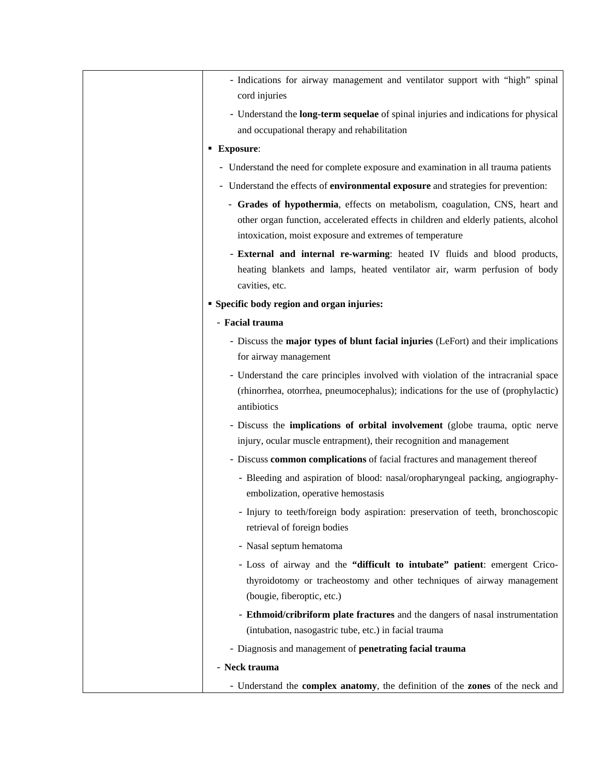| - Indications for airway management and ventilator support with "high" spinal<br>cord injuries                                                                                         |
|----------------------------------------------------------------------------------------------------------------------------------------------------------------------------------------|
| - Understand the <b>long-term sequelae</b> of spinal injuries and indications for physical<br>and occupational therapy and rehabilitation                                              |
| <b>Exposure:</b>                                                                                                                                                                       |
| - Understand the need for complete exposure and examination in all trauma patients                                                                                                     |
| - Understand the effects of <b>environmental exposure</b> and strategies for prevention:                                                                                               |
| - Grades of hypothermia, effects on metabolism, coagulation, CNS, heart and<br>other organ function, accelerated effects in children and elderly patients, alcohol                     |
| intoxication, moist exposure and extremes of temperature                                                                                                                               |
| - External and internal re-warming: heated IV fluids and blood products,<br>heating blankets and lamps, heated ventilator air, warm perfusion of body<br>cavities, etc.                |
| <b>Specific body region and organ injuries:</b>                                                                                                                                        |
| - Facial trauma                                                                                                                                                                        |
| - Discuss the major types of blunt facial injuries (LeFort) and their implications<br>for airway management                                                                            |
| - Understand the care principles involved with violation of the intracranial space<br>(rhinorrhea, otorrhea, pneumocephalus); indications for the use of (prophylactic)<br>antibiotics |
| - Discuss the <b>implications of orbital involvement</b> (globe trauma, optic nerve<br>injury, ocular muscle entrapment), their recognition and management                             |
| - Discuss common complications of facial fractures and management thereof                                                                                                              |
| - Bleeding and aspiration of blood: nasal/oropharyngeal packing, angiography-<br>embolization, operative hemostasis                                                                    |
| - Injury to teeth/foreign body aspiration: preservation of teeth, bronchoscopic<br>retrieval of foreign bodies                                                                         |
| - Nasal septum hematoma                                                                                                                                                                |
| - Loss of airway and the "difficult to intubate" patient: emergent Crico-<br>thyroidotomy or tracheostomy and other techniques of airway management<br>(bougie, fiberoptic, etc.)      |
| - Ethmoid/cribriform plate fractures and the dangers of nasal instrumentation<br>(intubation, nasogastric tube, etc.) in facial trauma                                                 |
| - Diagnosis and management of penetrating facial trauma                                                                                                                                |
| - Neck trauma                                                                                                                                                                          |
| - Understand the complex anatomy, the definition of the zones of the neck and                                                                                                          |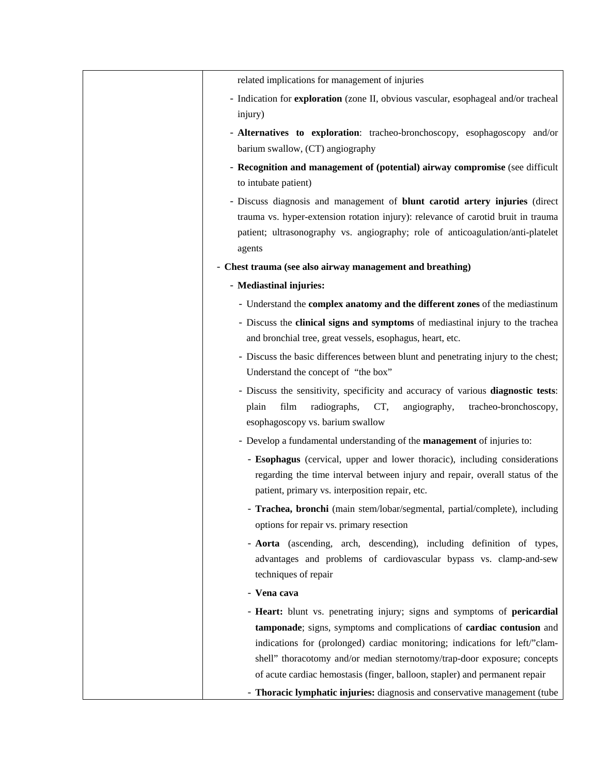| related implications for management of injuries                                                                                                                                                                                                                                                              |
|--------------------------------------------------------------------------------------------------------------------------------------------------------------------------------------------------------------------------------------------------------------------------------------------------------------|
| - Indication for exploration (zone II, obvious vascular, esophageal and/or tracheal                                                                                                                                                                                                                          |
| injury)                                                                                                                                                                                                                                                                                                      |
| - Alternatives to exploration: tracheo-bronchoscopy, esophagoscopy and/or<br>barium swallow, (CT) angiography                                                                                                                                                                                                |
| - Recognition and management of (potential) airway compromise (see difficult<br>to intubate patient)                                                                                                                                                                                                         |
| - Discuss diagnosis and management of <b>blunt carotid artery injuries</b> (direct<br>trauma vs. hyper-extension rotation injury): relevance of carotid bruit in trauma<br>patient; ultrasonography vs. angiography; role of anticoagulation/anti-platelet<br>agents                                         |
| - Chest trauma (see also airway management and breathing)                                                                                                                                                                                                                                                    |
| - Mediastinal injuries:                                                                                                                                                                                                                                                                                      |
| - Understand the complex anatomy and the different zones of the mediastinum                                                                                                                                                                                                                                  |
| - Discuss the clinical signs and symptoms of mediastinal injury to the trachea<br>and bronchial tree, great vessels, esophagus, heart, etc.                                                                                                                                                                  |
| - Discuss the basic differences between blunt and penetrating injury to the chest;<br>Understand the concept of "the box"                                                                                                                                                                                    |
| - Discuss the sensitivity, specificity and accuracy of various diagnostic tests:<br>radiographs,<br>film<br>CT,<br>angiography,<br>tracheo-bronchoscopy,<br>plain<br>esophagoscopy vs. barium swallow                                                                                                        |
| - Develop a fundamental understanding of the management of injuries to:                                                                                                                                                                                                                                      |
| - Esophagus (cervical, upper and lower thoracic), including considerations<br>regarding the time interval between injury and repair, overall status of the<br>patient, primary vs. interposition repair, etc.                                                                                                |
| - Trachea, bronchi (main stem/lobar/segmental, partial/complete), including<br>options for repair vs. primary resection                                                                                                                                                                                      |
| - Aorta (ascending, arch, descending), including definition of types,<br>advantages and problems of cardiovascular bypass vs. clamp-and-sew<br>techniques of repair                                                                                                                                          |
| - Vena cava                                                                                                                                                                                                                                                                                                  |
| - Heart: blunt vs. penetrating injury; signs and symptoms of pericardial<br>tamponade; signs, symptoms and complications of cardiac contusion and<br>indications for (prolonged) cardiac monitoring; indications for left/"clam-<br>shell" thoracotomy and/or median sternotomy/trap-door exposure; concepts |
| of acute cardiac hemostasis (finger, balloon, stapler) and permanent repair                                                                                                                                                                                                                                  |
| - Thoracic lymphatic injuries: diagnosis and conservative management (tube                                                                                                                                                                                                                                   |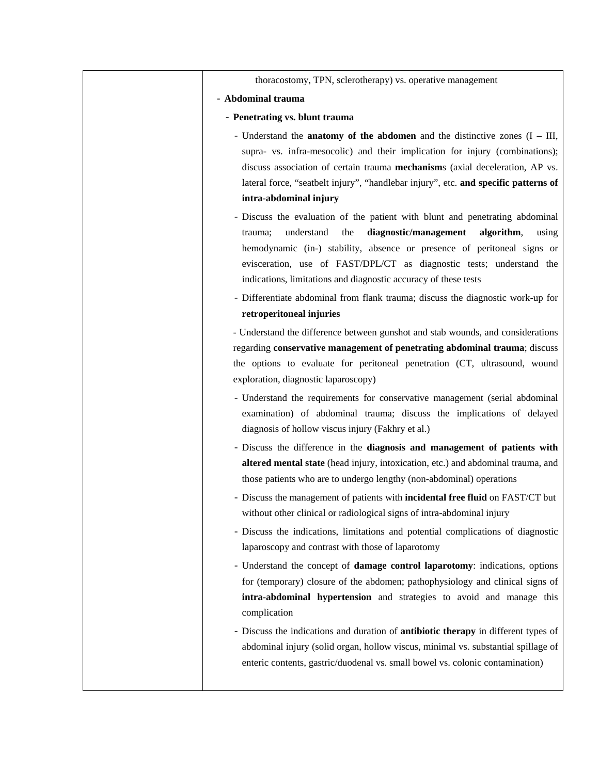| thoracostomy, TPN, sclerotherapy) vs. operative management                                                                                                                                                                                                                                                                                                                                                                                                            |
|-----------------------------------------------------------------------------------------------------------------------------------------------------------------------------------------------------------------------------------------------------------------------------------------------------------------------------------------------------------------------------------------------------------------------------------------------------------------------|
| - Abdominal trauma                                                                                                                                                                                                                                                                                                                                                                                                                                                    |
| - Penetrating vs. blunt trauma                                                                                                                                                                                                                                                                                                                                                                                                                                        |
| - Understand the <b>anatomy of the abdomen</b> and the distinctive zones $(I - III, I)$<br>supra- vs. infra-mesocolic) and their implication for injury (combinations);<br>discuss association of certain trauma mechanisms (axial deceleration, AP vs.<br>lateral force, "seatbelt injury", "handlebar injury", etc. and specific patterns of<br>intra-abdominal injury                                                                                              |
| - Discuss the evaluation of the patient with blunt and penetrating abdominal<br>diagnostic/management<br>understand<br>the<br>algorithm,<br>using<br>trauma;<br>hemodynamic (in-) stability, absence or presence of peritoneal signs or<br>evisceration, use of FAST/DPL/CT as diagnostic tests; understand the<br>indications, limitations and diagnostic accuracy of these tests<br>- Differentiate abdominal from flank trauma; discuss the diagnostic work-up for |
| retroperitoneal injuries                                                                                                                                                                                                                                                                                                                                                                                                                                              |
| - Understand the difference between gunshot and stab wounds, and considerations<br>regarding conservative management of penetrating abdominal trauma; discuss<br>the options to evaluate for peritoneal penetration (CT, ultrasound, wound<br>exploration, diagnostic laparoscopy)                                                                                                                                                                                    |
| - Understand the requirements for conservative management (serial abdominal<br>examination) of abdominal trauma; discuss the implications of delayed<br>diagnosis of hollow viscus injury (Fakhry et al.)                                                                                                                                                                                                                                                             |
| - Discuss the difference in the diagnosis and management of patients with<br>altered mental state (head injury, intoxication, etc.) and abdominal trauma, and<br>those patients who are to undergo lengthy (non-abdominal) operations<br>- Discuss the management of patients with <b>incidental free fluid</b> on FAST/CT but<br>without other clinical or radiological signs of intra-abdominal injury                                                              |
| - Discuss the indications, limitations and potential complications of diagnostic<br>laparoscopy and contrast with those of laparotomy<br>- Understand the concept of damage control laparotomy: indications, options                                                                                                                                                                                                                                                  |
| for (temporary) closure of the abdomen; pathophysiology and clinical signs of<br>intra-abdominal hypertension and strategies to avoid and manage this<br>complication                                                                                                                                                                                                                                                                                                 |
| - Discuss the indications and duration of <b>antibiotic therapy</b> in different types of<br>abdominal injury (solid organ, hollow viscus, minimal vs. substantial spillage of<br>enteric contents, gastric/duodenal vs. small bowel vs. colonic contamination)                                                                                                                                                                                                       |
|                                                                                                                                                                                                                                                                                                                                                                                                                                                                       |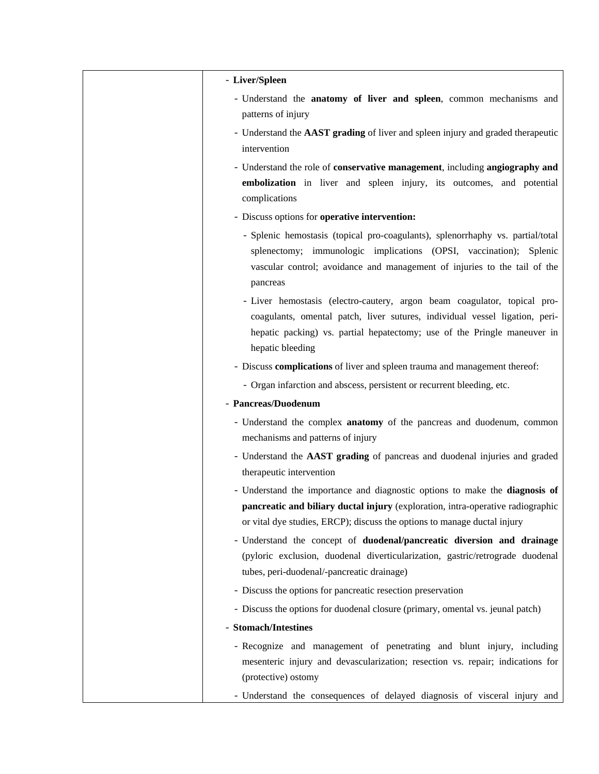| - Liver/Spleen                                                                                                                                                                                                                                          |
|---------------------------------------------------------------------------------------------------------------------------------------------------------------------------------------------------------------------------------------------------------|
| - Understand the anatomy of liver and spleen, common mechanisms and<br>patterns of injury                                                                                                                                                               |
| - Understand the AAST grading of liver and spleen injury and graded therapeutic                                                                                                                                                                         |
| intervention                                                                                                                                                                                                                                            |
| - Understand the role of conservative management, including angiography and                                                                                                                                                                             |
| embolization in liver and spleen injury, its outcomes, and potential<br>complications                                                                                                                                                                   |
| - Discuss options for operative intervention:                                                                                                                                                                                                           |
| - Splenic hemostasis (topical pro-coagulants), splenorrhaphy vs. partial/total<br>splenectomy; immunologic implications (OPSI, vaccination); Splenic<br>vascular control; avoidance and management of injuries to the tail of the<br>pancreas           |
| - Liver hemostasis (electro-cautery, argon beam coagulator, topical pro-<br>coagulants, omental patch, liver sutures, individual vessel ligation, peri-<br>hepatic packing) vs. partial hepatectomy; use of the Pringle maneuver in<br>hepatic bleeding |
| - Discuss complications of liver and spleen trauma and management thereof:                                                                                                                                                                              |
| - Organ infarction and abscess, persistent or recurrent bleeding, etc.                                                                                                                                                                                  |
| - Pancreas/Duodenum                                                                                                                                                                                                                                     |
| - Understand the complex anatomy of the pancreas and duodenum, common<br>mechanisms and patterns of injury                                                                                                                                              |
| - Understand the AAST grading of pancreas and duodenal injuries and graded<br>therapeutic intervention                                                                                                                                                  |
| - Understand the importance and diagnostic options to make the diagnosis of<br><b>pancreatic and biliary ductal injury</b> (exploration, intra-operative radiographic<br>or vital dye studies, ERCP); discuss the options to manage ductal injury       |
| - Understand the concept of duodenal/pancreatic diversion and drainage<br>(pyloric exclusion, duodenal diverticularization, gastric/retrograde duodenal<br>tubes, peri-duodenal/-pancreatic drainage)                                                   |
| - Discuss the options for pancreatic resection preservation                                                                                                                                                                                             |
| - Discuss the options for duodenal closure (primary, omental vs. jeunal patch)                                                                                                                                                                          |
| - Stomach/Intestines                                                                                                                                                                                                                                    |
| - Recognize and management of penetrating and blunt injury, including<br>mesenteric injury and devascularization; resection vs. repair; indications for<br>(protective) ostomy                                                                          |
| - Understand the consequences of delayed diagnosis of visceral injury and                                                                                                                                                                               |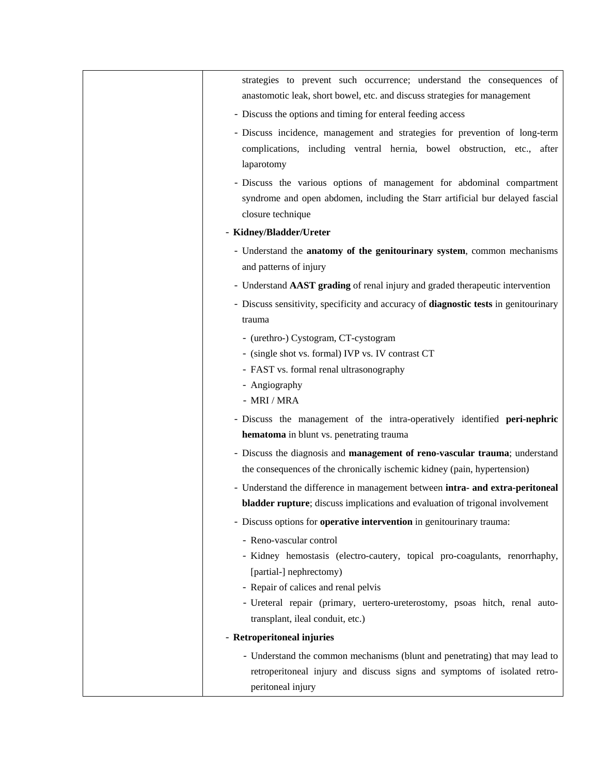| strategies to prevent such occurrence; understand the consequences of<br>anastomotic leak, short bowel, etc. and discuss strategies for management                                                                                                     |
|--------------------------------------------------------------------------------------------------------------------------------------------------------------------------------------------------------------------------------------------------------|
| - Discuss the options and timing for enteral feeding access                                                                                                                                                                                            |
| - Discuss incidence, management and strategies for prevention of long-term<br>complications, including ventral hernia, bowel obstruction, etc., after<br>laparotomy                                                                                    |
| - Discuss the various options of management for abdominal compartment<br>syndrome and open abdomen, including the Starr artificial bur delayed fascial<br>closure technique                                                                            |
| - Kidney/Bladder/Ureter                                                                                                                                                                                                                                |
| - Understand the anatomy of the genitourinary system, common mechanisms<br>and patterns of injury                                                                                                                                                      |
| - Understand AAST grading of renal injury and graded therapeutic intervention                                                                                                                                                                          |
| - Discuss sensitivity, specificity and accuracy of diagnostic tests in genitourinary<br>trauma                                                                                                                                                         |
| - (urethro-) Cystogram, CT-cystogram<br>- (single shot vs. formal) IVP vs. IV contrast CT<br>- FAST vs. formal renal ultrasonography                                                                                                                   |
| - Angiography<br>$-$ MRI / MRA                                                                                                                                                                                                                         |
| - Discuss the management of the intra-operatively identified peri-nephric<br>hematoma in blunt vs. penetrating trauma                                                                                                                                  |
| - Discuss the diagnosis and management of reno-vascular trauma; understand<br>the consequences of the chronically ischemic kidney (pain, hypertension)                                                                                                 |
| - Understand the difference in management between intra- and extra-peritoneal<br><b>bladder rupture</b> ; discuss implications and evaluation of trigonal involvement                                                                                  |
| - Discuss options for operative intervention in genitourinary trauma:                                                                                                                                                                                  |
| - Reno-vascular control<br>- Kidney hemostasis (electro-cautery, topical pro-coagulants, renorrhaphy,<br>[partial-] nephrectomy)<br>- Repair of calices and renal pelvis<br>- Ureteral repair (primary, uertero-ureterostomy, psoas hitch, renal auto- |
| transplant, ileal conduit, etc.)                                                                                                                                                                                                                       |
| - Retroperitoneal injuries                                                                                                                                                                                                                             |
| - Understand the common mechanisms (blunt and penetrating) that may lead to<br>retroperitoneal injury and discuss signs and symptoms of isolated retro-<br>peritoneal injury                                                                           |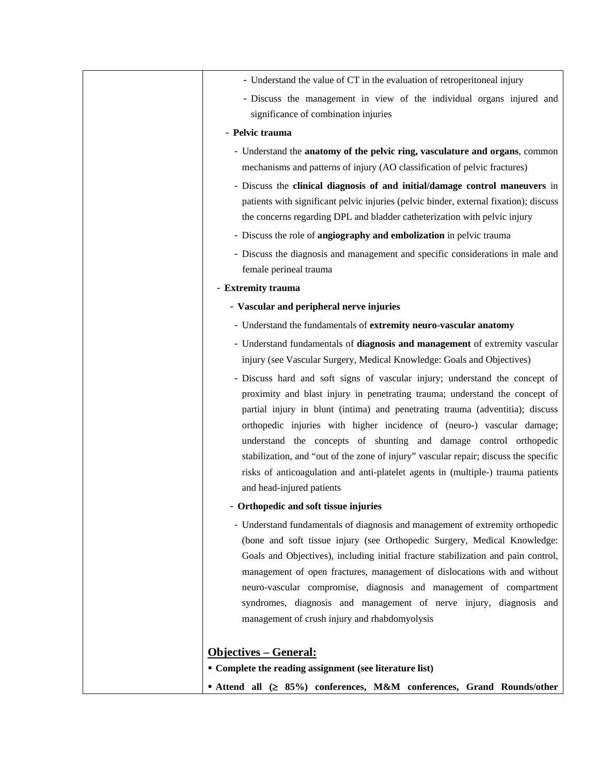| - Understand the value of CT in the evaluation of retroperitoneal injury                                                                    |
|---------------------------------------------------------------------------------------------------------------------------------------------|
| - Discuss the management in view of the individual organs injured and                                                                       |
| significance of combination injuries                                                                                                        |
| - Pelvic trauma                                                                                                                             |
| - Understand the anatomy of the pelvic ring, vasculature and organs, common                                                                 |
| mechanisms and patterns of injury (AO classification of pelvic fractures)                                                                   |
| - Discuss the clinical diagnosis of and initial/damage control maneuvers in                                                                 |
| patients with significant pelvic injuries (pelvic binder, external fixation); discuss                                                       |
| the concerns regarding DPL and bladder catheterization with pelvic injury                                                                   |
| - Discuss the role of angiography and embolization in pelvic trauma                                                                         |
| - Discuss the diagnosis and management and specific considerations in male and                                                              |
| female perineal trauma                                                                                                                      |
| - Extremity trauma                                                                                                                          |
| - Vascular and peripheral nerve injuries                                                                                                    |
| - Understand the fundamentals of extremity neuro-vascular anatomy                                                                           |
| - Understand fundamentals of diagnosis and management of extremity vascular                                                                 |
| injury (see Vascular Surgery, Medical Knowledge: Goals and Objectives)                                                                      |
| - Discuss hard and soft signs of vascular injury; understand the concept of                                                                 |
| proximity and blast injury in penetrating trauma; understand the concept of                                                                 |
| partial injury in blunt (intima) and penetrating trauma (adventitia); discuss                                                               |
| orthopedic injuries with higher incidence of (neuro-) vascular damage;<br>understand the concepts of shunting and damage control orthopedic |
| stabilization, and "out of the zone of injury" vascular repair; discuss the specific                                                        |
| risks of anticoagulation and anti-platelet agents in (multiple-) trauma patients                                                            |
| and head-injured patients                                                                                                                   |
| - Orthopedic and soft tissue injuries                                                                                                       |
| - Understand fundamentals of diagnosis and management of extremity orthopedic                                                               |
| (bone and soft tissue injury (see Orthopedic Surgery, Medical Knowledge:                                                                    |
| Goals and Objectives), including initial fracture stabilization and pain control,                                                           |
| management of open fractures, management of dislocations with and without                                                                   |
| neuro-vascular compromise, diagnosis and management of compartment                                                                          |
| syndromes, diagnosis and management of nerve injury, diagnosis and                                                                          |
| management of crush injury and rhabdomyolysis                                                                                               |
|                                                                                                                                             |
| <u> Objectives – General:</u><br>• Complete the reading assignment (see literature list)                                                    |
|                                                                                                                                             |
| ■ Attend all (≥ 85%) conferences, M&M conferences, Grand Rounds/other                                                                       |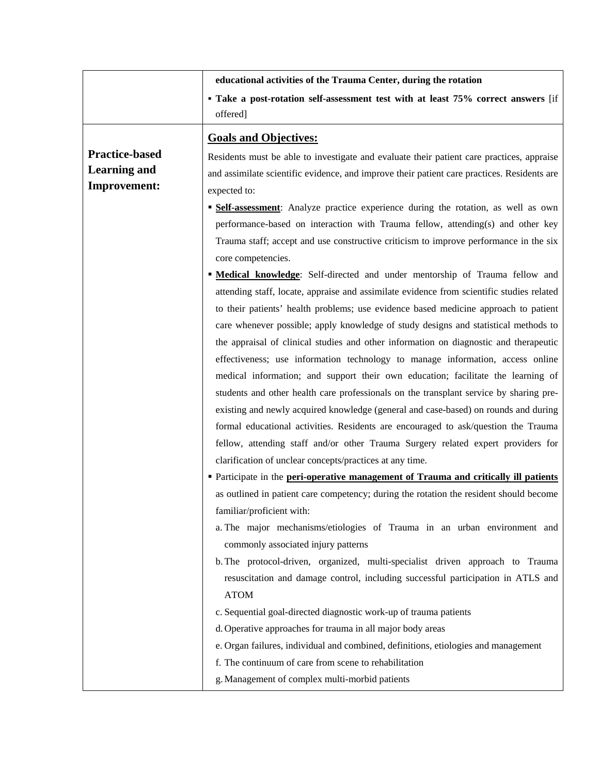|                       | educational activities of the Trauma Center, during the rotation                                |
|-----------------------|-------------------------------------------------------------------------------------------------|
|                       | · Take a post-rotation self-assessment test with at least 75% correct answers [if               |
|                       | offered]                                                                                        |
|                       | <b>Goals and Objectives:</b>                                                                    |
| <b>Practice-based</b> | Residents must be able to investigate and evaluate their patient care practices, appraise       |
| <b>Learning and</b>   | and assimilate scientific evidence, and improve their patient care practices. Residents are     |
| <b>Improvement:</b>   | expected to:                                                                                    |
|                       | <b>Self-assessment:</b> Analyze practice experience during the rotation, as well as own         |
|                       | performance-based on interaction with Trauma fellow, attending(s) and other key                 |
|                       | Trauma staff; accept and use constructive criticism to improve performance in the six           |
|                       | core competencies.                                                                              |
|                       | <b>Medical knowledge:</b> Self-directed and under mentorship of Trauma fellow and               |
|                       | attending staff, locate, appraise and assimilate evidence from scientific studies related       |
|                       | to their patients' health problems; use evidence based medicine approach to patient             |
|                       | care whenever possible; apply knowledge of study designs and statistical methods to             |
|                       | the appraisal of clinical studies and other information on diagnostic and therapeutic           |
|                       | effectiveness; use information technology to manage information, access online                  |
|                       | medical information; and support their own education; facilitate the learning of                |
|                       | students and other health care professionals on the transplant service by sharing pre-          |
|                       | existing and newly acquired knowledge (general and case-based) on rounds and during             |
|                       | formal educational activities. Residents are encouraged to ask/question the Trauma              |
|                       | fellow, attending staff and/or other Trauma Surgery related expert providers for                |
|                       | clarification of unclear concepts/practices at any time.                                        |
|                       | • Participate in the peri-operative management of Trauma and critically ill patients            |
|                       | as outlined in patient care competency; during the rotation the resident should become          |
|                       | familiar/proficient with:                                                                       |
|                       | a. The major mechanisms/etiologies of Trauma in an urban environment and                        |
|                       | commonly associated injury patterns                                                             |
|                       | b. The protocol-driven, organized, multi-specialist driven approach to Trauma                   |
|                       | resuscitation and damage control, including successful participation in ATLS and<br><b>ATOM</b> |
|                       | c. Sequential goal-directed diagnostic work-up of trauma patients                               |
|                       | d. Operative approaches for trauma in all major body areas                                      |
|                       | e. Organ failures, individual and combined, definitions, etiologies and management              |
|                       | f. The continuum of care from scene to rehabilitation                                           |
|                       | g. Management of complex multi-morbid patients                                                  |
|                       |                                                                                                 |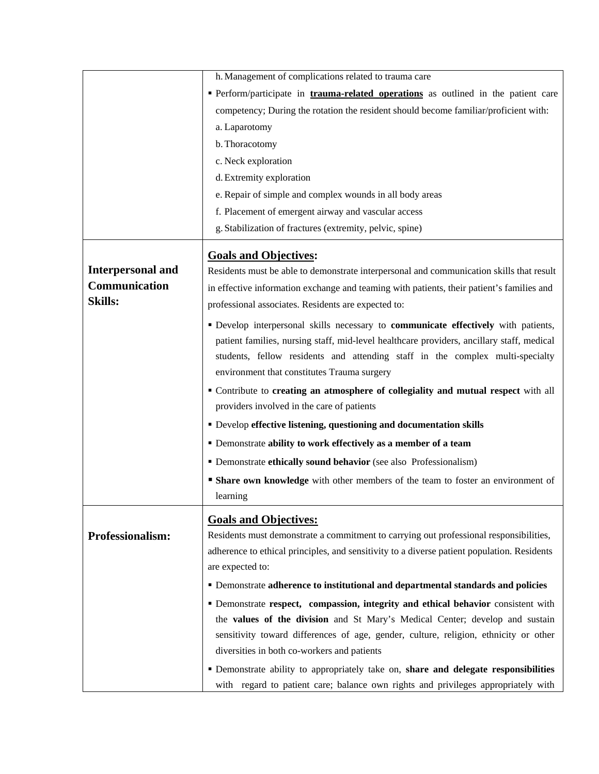|                          | h. Management of complications related to trauma care                                       |
|--------------------------|---------------------------------------------------------------------------------------------|
|                          | Perform/participate in <b>trauma-related operations</b> as outlined in the patient care     |
|                          | competency; During the rotation the resident should become familiar/proficient with:        |
|                          | a. Laparotomy                                                                               |
|                          | b. Thoracotomy                                                                              |
|                          | c. Neck exploration                                                                         |
|                          | d. Extremity exploration                                                                    |
|                          | e. Repair of simple and complex wounds in all body areas                                    |
|                          | f. Placement of emergent airway and vascular access                                         |
|                          | g. Stabilization of fractures (extremity, pelvic, spine)                                    |
|                          | <b>Goals and Objectives:</b>                                                                |
| <b>Interpersonal and</b> | Residents must be able to demonstrate interpersonal and communication skills that result    |
| Communication            | in effective information exchange and teaming with patients, their patient's families and   |
| <b>Skills:</b>           | professional associates. Residents are expected to:                                         |
|                          | " Develop interpersonal skills necessary to communicate effectively with patients,          |
|                          | patient families, nursing staff, mid-level healthcare providers, ancillary staff, medical   |
|                          | students, fellow residents and attending staff in the complex multi-specialty               |
|                          | environment that constitutes Trauma surgery                                                 |
|                          | " Contribute to creating an atmosphere of collegiality and mutual respect with all          |
|                          | providers involved in the care of patients                                                  |
|                          | • Develop effective listening, questioning and documentation skills                         |
|                          | • Demonstrate ability to work effectively as a member of a team                             |
|                          | • Demonstrate ethically sound behavior (see also Professionalism)                           |
|                          | <b>Share own knowledge</b> with other members of the team to foster an environment of       |
|                          | learning                                                                                    |
|                          | <b>Goals and Objectives:</b>                                                                |
| Professionalism:         | Residents must demonstrate a commitment to carrying out professional responsibilities,      |
|                          | adherence to ethical principles, and sensitivity to a diverse patient population. Residents |
|                          | are expected to:                                                                            |
|                          | • Demonstrate adherence to institutional and departmental standards and policies            |
|                          | · Demonstrate respect, compassion, integrity and ethical behavior consistent with           |
|                          | the values of the division and St Mary's Medical Center; develop and sustain                |
|                          | sensitivity toward differences of age, gender, culture, religion, ethnicity or other        |
|                          | diversities in both co-workers and patients                                                 |
|                          | " Demonstrate ability to appropriately take on, share and delegate responsibilities         |
|                          | with regard to patient care; balance own rights and privileges appropriately with           |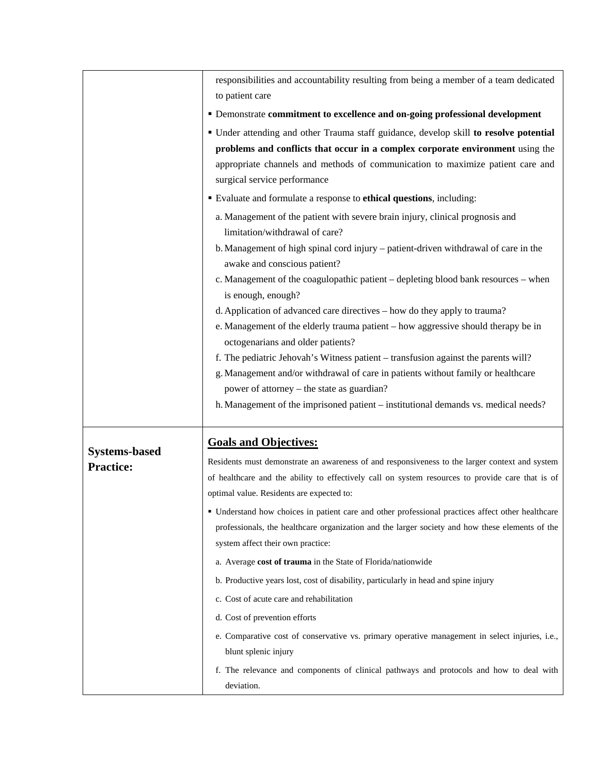|                      | responsibilities and accountability resulting from being a member of a team dedicated                                  |
|----------------------|------------------------------------------------------------------------------------------------------------------------|
|                      | to patient care                                                                                                        |
|                      | • Demonstrate commitment to excellence and on-going professional development                                           |
|                      | • Under attending and other Trauma staff guidance, develop skill to resolve potential                                  |
|                      | problems and conflicts that occur in a complex corporate environment using the                                         |
|                      | appropriate channels and methods of communication to maximize patient care and                                         |
|                      | surgical service performance                                                                                           |
|                      | Evaluate and formulate a response to ethical questions, including:                                                     |
|                      | a. Management of the patient with severe brain injury, clinical prognosis and                                          |
|                      | limitation/withdrawal of care?                                                                                         |
|                      | b. Management of high spinal cord injury – patient-driven withdrawal of care in the                                    |
|                      | awake and conscious patient?                                                                                           |
|                      | c. Management of the coagulopathic patient – depleting blood bank resources – when                                     |
|                      | is enough, enough?                                                                                                     |
|                      | d. Application of advanced care directives – how do they apply to trauma?                                              |
|                      | e. Management of the elderly trauma patient – how aggressive should therapy be in<br>octogenarians and older patients? |
|                      | f. The pediatric Jehovah's Witness patient – transfusion against the parents will?                                     |
|                      | g. Management and/or withdrawal of care in patients without family or healthcare                                       |
|                      | power of attorney – the state as guardian?                                                                             |
|                      | h. Management of the imprisoned patient – institutional demands vs. medical needs?                                     |
|                      |                                                                                                                        |
| <b>Systems-based</b> | <b>Goals and Objectives:</b>                                                                                           |
| <b>Practice:</b>     | Residents must demonstrate an awareness of and responsiveness to the larger context and system                         |
|                      | of healthcare and the ability to effectively call on system resources to provide care that is of                       |
|                      | optimal value. Residents are expected to:                                                                              |
|                      | · Understand how choices in patient care and other professional practices affect other healthcare                      |
|                      | professionals, the healthcare organization and the larger society and how these elements of the                        |
|                      | system affect their own practice:                                                                                      |
|                      | a. Average cost of trauma in the State of Florida/nationwide                                                           |
|                      | b. Productive years lost, cost of disability, particularly in head and spine injury                                    |
|                      | c. Cost of acute care and rehabilitation                                                                               |
|                      | d. Cost of prevention efforts                                                                                          |
|                      | e. Comparative cost of conservative vs. primary operative management in select injuries, i.e.,                         |
|                      | blunt splenic injury                                                                                                   |
|                      | f. The relevance and components of clinical pathways and protocols and how to deal with<br>deviation.                  |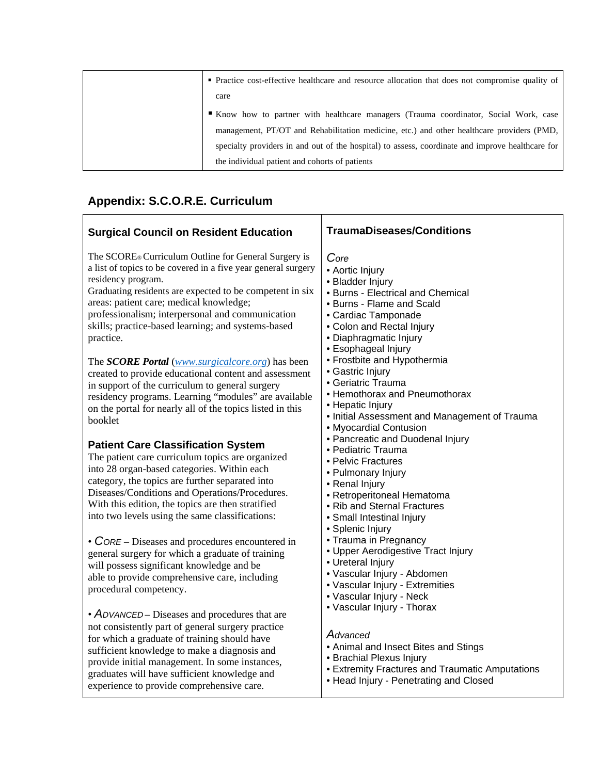| • Practice cost-effective healthcare and resource allocation that does not compromise quality of |
|--------------------------------------------------------------------------------------------------|
| care                                                                                             |
| Know how to partner with healthcare managers (Trauma coordinator, Social Work, case              |
| management, PT/OT and Rehabilitation medicine, etc.) and other healthcare providers (PMD,        |
| specialty providers in and out of the hospital) to assess, coordinate and improve healthcare for |
| the individual patient and cohorts of patients                                                   |

Τ

## **Appendix: S.C.O.R.E. Curriculum**

| <b>Surgical Council on Resident Education</b>                                                                                                                                                                                                                                                                                                                             | <b>TraumaDiseases/Conditions</b>                                                                                                                                                                                                                                                                                                                                                                                                                                                                                                                                                                                                                                                                                                                                                                                                                                                  |
|---------------------------------------------------------------------------------------------------------------------------------------------------------------------------------------------------------------------------------------------------------------------------------------------------------------------------------------------------------------------------|-----------------------------------------------------------------------------------------------------------------------------------------------------------------------------------------------------------------------------------------------------------------------------------------------------------------------------------------------------------------------------------------------------------------------------------------------------------------------------------------------------------------------------------------------------------------------------------------------------------------------------------------------------------------------------------------------------------------------------------------------------------------------------------------------------------------------------------------------------------------------------------|
| The SCORE® Curriculum Outline for General Surgery is<br>a list of topics to be covered in a five year general surgery<br>residency program.<br>Graduating residents are expected to be competent in six<br>areas: patient care; medical knowledge;<br>professionalism; interpersonal and communication<br>skills; practice-based learning; and systems-based<br>practice. | Core<br>• Aortic Injury<br>• Bladder Injury<br>• Burns - Electrical and Chemical<br>• Burns - Flame and Scald<br>• Cardiac Tamponade<br>• Colon and Rectal Injury<br>• Diaphragmatic Injury<br>• Esophageal Injury<br>• Frostbite and Hypothermia<br>• Gastric Injury<br>• Geriatric Trauma<br>• Hemothorax and Pneumothorax<br>• Hepatic Injury<br>• Initial Assessment and Management of Trauma<br>• Myocardial Contusion<br>• Pancreatic and Duodenal Injury<br>• Pediatric Trauma<br>• Pelvic Fractures<br>• Pulmonary Injury<br>• Renal Injury<br>• Retroperitoneal Hematoma<br>• Rib and Sternal Fractures<br>• Small Intestinal Injury<br>• Splenic Injury<br>• Trauma in Pregnancy<br>• Upper Aerodigestive Tract Injury<br>• Ureteral Injury<br>• Vascular Injury - Abdomen<br>• Vascular Injury - Extremities<br>• Vascular Injury - Neck<br>• Vascular Injury - Thorax |
| The <i>SCORE Portal</i> ( <i>www.surgicalcore.org</i> ) has been<br>created to provide educational content and assessment<br>in support of the curriculum to general surgery<br>residency programs. Learning "modules" are available<br>on the portal for nearly all of the topics listed in this<br>booklet                                                              |                                                                                                                                                                                                                                                                                                                                                                                                                                                                                                                                                                                                                                                                                                                                                                                                                                                                                   |
| <b>Patient Care Classification System</b><br>The patient care curriculum topics are organized<br>into 28 organ-based categories. Within each<br>category, the topics are further separated into<br>Diseases/Conditions and Operations/Procedures.<br>With this edition, the topics are then stratified<br>into two levels using the same classifications:                 |                                                                                                                                                                                                                                                                                                                                                                                                                                                                                                                                                                                                                                                                                                                                                                                                                                                                                   |
| • $\text{CoRE}-\text{Diseases}$ and procedures encountered in<br>general surgery for which a graduate of training<br>will possess significant knowledge and be<br>able to provide comprehensive care, including<br>procedural competency.<br>• ADVANCED–Diseases and procedures that are                                                                                  |                                                                                                                                                                                                                                                                                                                                                                                                                                                                                                                                                                                                                                                                                                                                                                                                                                                                                   |
| not consistently part of general surgery practice<br>for which a graduate of training should have<br>sufficient knowledge to make a diagnosis and<br>provide initial management. In some instances,<br>graduates will have sufficient knowledge and<br>experience to provide comprehensive care.                                                                          | Advanced<br>• Animal and Insect Bites and Stings<br>• Brachial Plexus Injury<br><b>• Extremity Fractures and Traumatic Amputations</b><br>• Head Injury - Penetrating and Closed                                                                                                                                                                                                                                                                                                                                                                                                                                                                                                                                                                                                                                                                                                  |